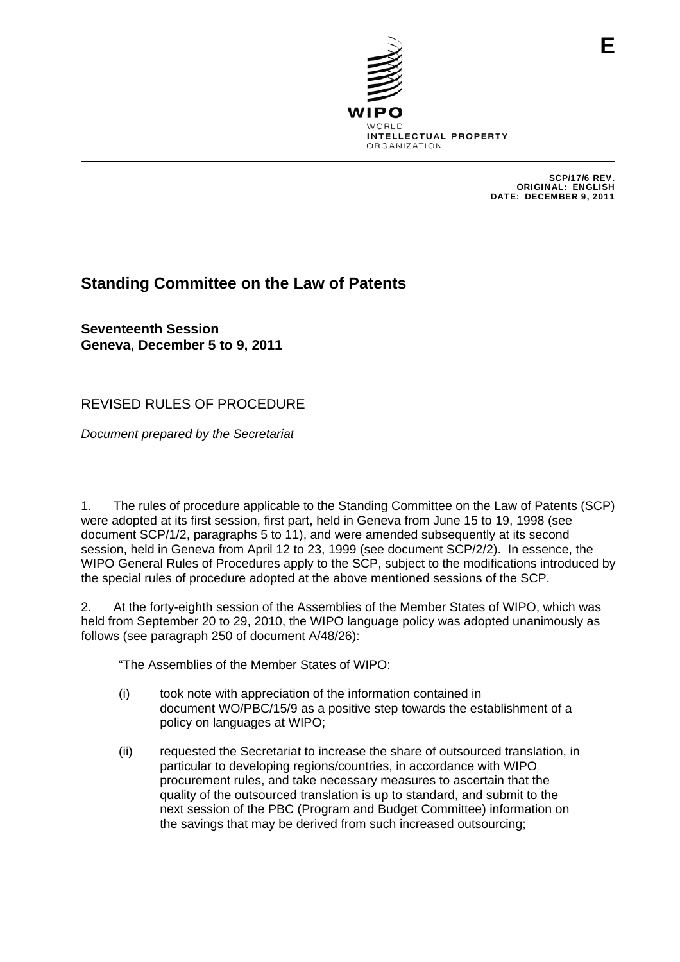

SCP/17/6 REV. ORIGINAL: ENGLISH DATE: DECEMBER 9, 2011

## **Standing Committee on the Law of Patents**

**Seventeenth Session Geneva, December 5 to 9, 2011** 

REVISED RULES OF PROCEDURE

*Document prepared by the Secretariat* 

1. The rules of procedure applicable to the Standing Committee on the Law of Patents (SCP) were adopted at its first session, first part, held in Geneva from June 15 to 19, 1998 (see document SCP/1/2, paragraphs 5 to 11), and were amended subsequently at its second session, held in Geneva from April 12 to 23, 1999 (see document SCP/2/2). In essence, the WIPO General Rules of Procedures apply to the SCP, subject to the modifications introduced by the special rules of procedure adopted at the above mentioned sessions of the SCP.

2. At the forty-eighth session of the Assemblies of the Member States of WIPO, which was held from September 20 to 29, 2010, the WIPO language policy was adopted unanimously as follows (see paragraph 250 of document A/48/26):

"The Assemblies of the Member States of WIPO:

- (i) took note with appreciation of the information contained in document WO/PBC/15/9 as a positive step towards the establishment of a policy on languages at WIPO;
- (ii) requested the Secretariat to increase the share of outsourced translation, in particular to developing regions/countries, in accordance with WIPO procurement rules, and take necessary measures to ascertain that the quality of the outsourced translation is up to standard, and submit to the next session of the PBC (Program and Budget Committee) information on the savings that may be derived from such increased outsourcing;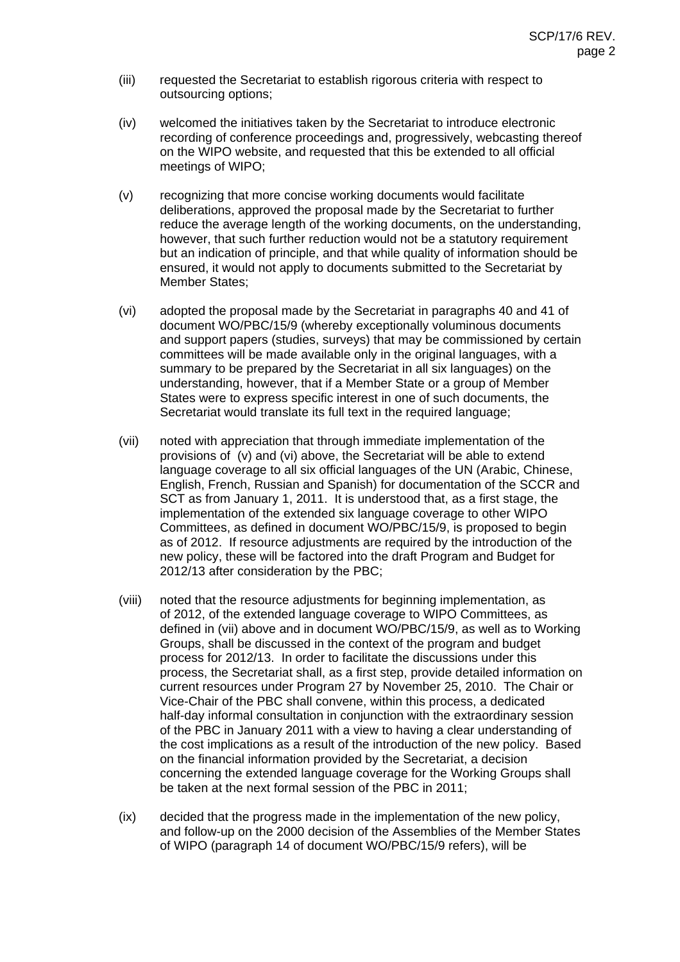- (iii) requested the Secretariat to establish rigorous criteria with respect to outsourcing options;
- (iv) welcomed the initiatives taken by the Secretariat to introduce electronic recording of conference proceedings and, progressively, webcasting thereof on the WIPO website, and requested that this be extended to all official meetings of WIPO;
- (v) recognizing that more concise working documents would facilitate deliberations, approved the proposal made by the Secretariat to further reduce the average length of the working documents, on the understanding, however, that such further reduction would not be a statutory requirement but an indication of principle, and that while quality of information should be ensured, it would not apply to documents submitted to the Secretariat by Member States;
- (vi) adopted the proposal made by the Secretariat in paragraphs 40 and 41 of document WO/PBC/15/9 (whereby exceptionally voluminous documents and support papers (studies, surveys) that may be commissioned by certain committees will be made available only in the original languages, with a summary to be prepared by the Secretariat in all six languages) on the understanding, however, that if a Member State or a group of Member States were to express specific interest in one of such documents, the Secretariat would translate its full text in the required language;
- (vii) noted with appreciation that through immediate implementation of the provisions of (v) and (vi) above, the Secretariat will be able to extend language coverage to all six official languages of the UN (Arabic, Chinese, English, French, Russian and Spanish) for documentation of the SCCR and SCT as from January 1, 2011. It is understood that, as a first stage, the implementation of the extended six language coverage to other WIPO Committees, as defined in document WO/PBC/15/9, is proposed to begin as of 2012. If resource adjustments are required by the introduction of the new policy, these will be factored into the draft Program and Budget for 2012/13 after consideration by the PBC;
- (viii) noted that the resource adjustments for beginning implementation, as of 2012, of the extended language coverage to WIPO Committees, as defined in (vii) above and in document WO/PBC/15/9, as well as to Working Groups, shall be discussed in the context of the program and budget process for 2012/13. In order to facilitate the discussions under this process, the Secretariat shall, as a first step, provide detailed information on current resources under Program 27 by November 25, 2010. The Chair or Vice-Chair of the PBC shall convene, within this process, a dedicated half-day informal consultation in conjunction with the extraordinary session of the PBC in January 2011 with a view to having a clear understanding of the cost implications as a result of the introduction of the new policy. Based on the financial information provided by the Secretariat, a decision concerning the extended language coverage for the Working Groups shall be taken at the next formal session of the PBC in 2011;
- (ix) decided that the progress made in the implementation of the new policy, and follow-up on the 2000 decision of the Assemblies of the Member States of WIPO (paragraph 14 of document WO/PBC/15/9 refers), will be